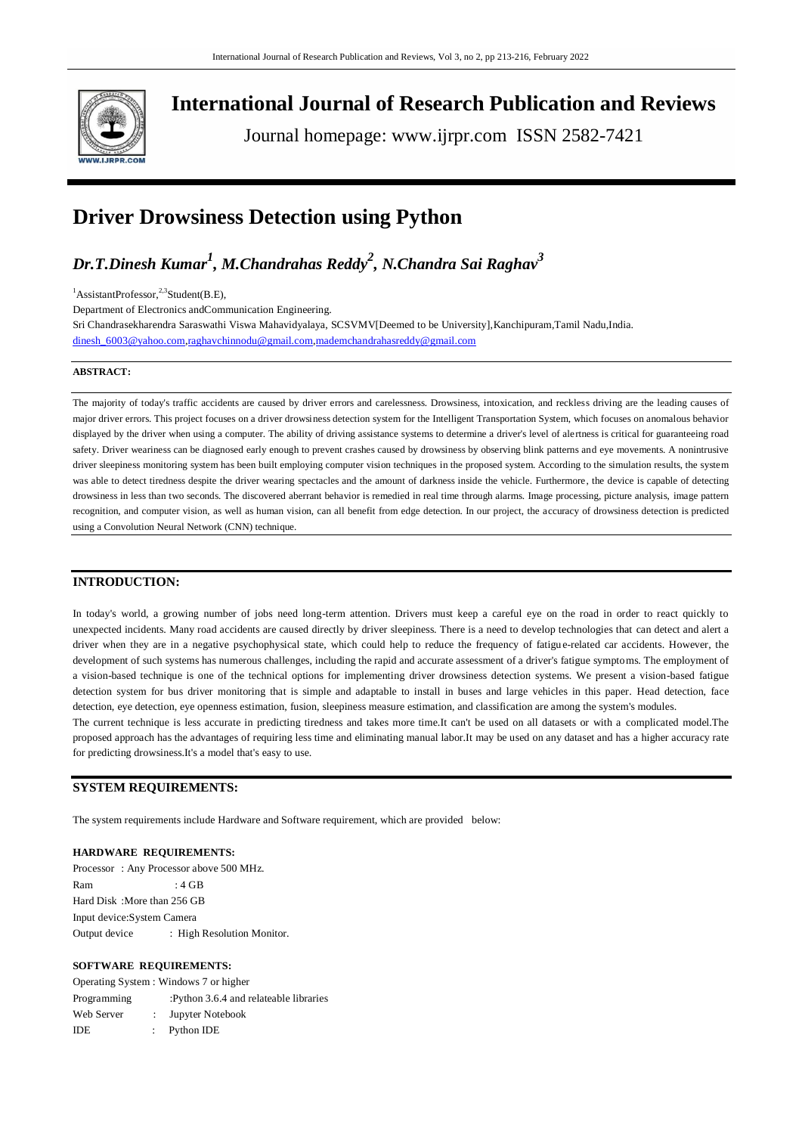

**International Journal of Research Publication and Reviews**

Journal homepage: www.ijrpr.com ISSN 2582-7421

# **Driver Drowsiness Detection using Python**

*Dr.T.Dinesh Kumar<sup>1</sup> , M.Chandrahas Reddy<sup>2</sup> , N.Chandra Sai Raghav<sup>3</sup>*

 ${}^{1}$ AssistantProfessor,<sup>2,3</sup>Student(B.E),

Department of Electronics andCommunication Engineering.

Sri Chandrasekharendra Saraswathi Viswa Mahavidyalaya, SCSVMV[Deemed to be University],Kanchipuram,Tamil Nadu,India. [dinesh\\_6003@yahoo.com,](mailto:dinesh_6003@yahoo.com)[raghavchinnodu@gmail.com,](mailto:raghavchinnodu@gmail.com)[mademchandrahasreddy@gmail.com](mailto:mademchandrahasreddy@gmail.com)

## **ABSTRACT:**

The majority of today's traffic accidents are caused by driver errors and carelessness. Drowsiness, intoxication, and reckless driving are the leading causes of major driver errors. This project focuses on a driver drowsiness detection system for the Intelligent Transportation System, which focuses on anomalous behavior displayed by the driver when using a computer. The ability of driving assistance systems to determine a driver's level of alertness is critical for guaranteeing road safety. Driver weariness can be diagnosed early enough to prevent crashes caused by drowsiness by observing blink patterns and eye movements. A nonintrusive driver sleepiness monitoring system has been built employing computer vision techniques in the proposed system. According to the simulation results, the system was able to detect tiredness despite the driver wearing spectacles and the amount of darkness inside the vehicle. Furthermore, the device is capable of detecting drowsiness in less than two seconds. The discovered aberrant behavior is remedied in real time through alarms. Image processing, picture analysis, image pattern recognition, and computer vision, as well as human vision, can all benefit from edge detection. In our project, the accuracy of drowsiness detection is predicted using a Convolution Neural Network (CNN) technique.

# **INTRODUCTION:**

In today's world, a growing number of jobs need long-term attention. Drivers must keep a careful eye on the road in order to react quickly to unexpected incidents. Many road accidents are caused directly by driver sleepiness. There is a need to develop technologies that can detect and alert a driver when they are in a negative psychophysical state, which could help to reduce the frequency of fatigue-related car accidents. However, the development of such systems has numerous challenges, including the rapid and accurate assessment of a driver's fatigue symptoms. The employment of a vision-based technique is one of the technical options for implementing driver drowsiness detection systems. We present a vision-based fatigue detection system for bus driver monitoring that is simple and adaptable to install in buses and large vehicles in this paper. Head detection, face detection, eye detection, eye openness estimation, fusion, sleepiness measure estimation, and classification are among the system's modules. The current technique is less accurate in predicting tiredness and takes more time.It can't be used on all datasets or with a complicated model.The

proposed approach has the advantages of requiring less time and eliminating manual labor.It may be used on any dataset and has a higher accuracy rate for predicting drowsiness.It's a model that's easy to use.

# **SYSTEM REQUIREMENTS:**

The system requirements include Hardware and Software requirement, which are provided below:

#### **HARDWARE REQUIREMENTS:**

Processor : Any Processor above 500 MHz. Ram  $\cdot$  4 GB Hard Disk :More than 256 GB Input device:System Camera Output device : High Resolution Monitor.

## **SOFTWARE REQUIREMENTS:**

Operating System : Windows 7 or higher Programming :Python 3.6.4 and relateable libraries Web Server : Jupyter Notebook IDE : Python IDE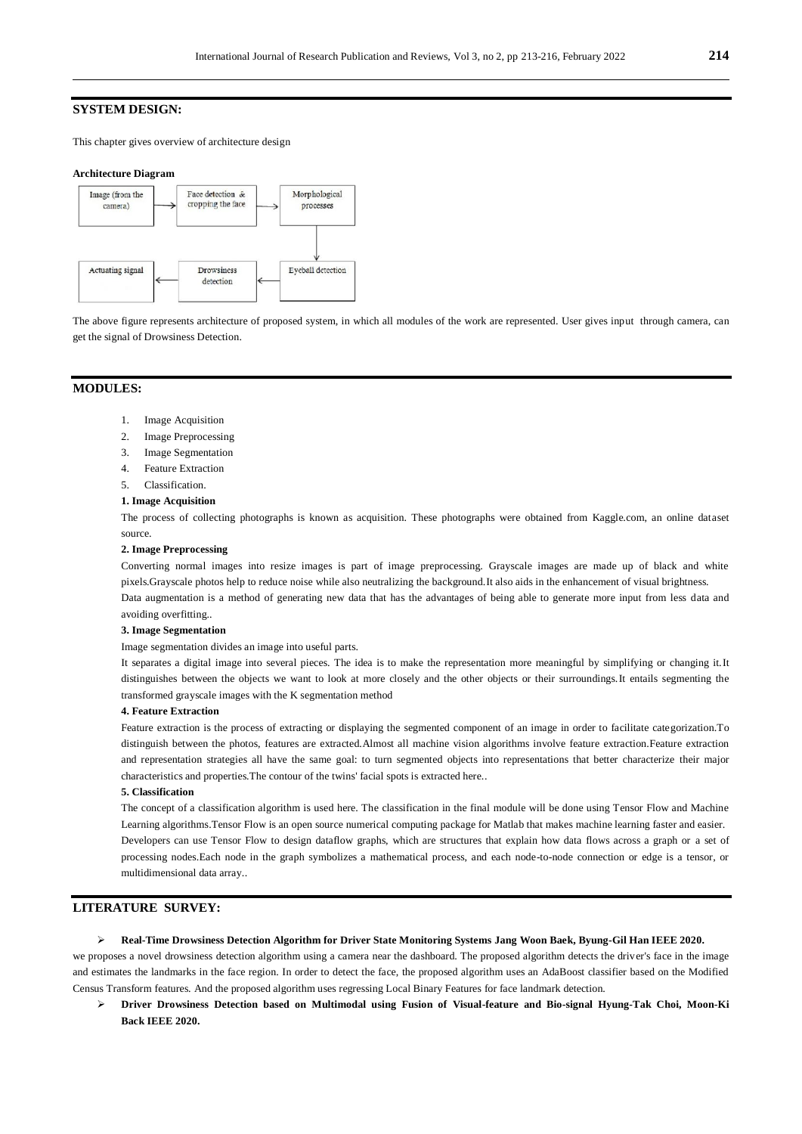# **SYSTEM DESIGN:**

This chapter gives overview of architecture design

#### **Architecture Diagram**



The above figure represents architecture of proposed system, in which all modules of the work are represented. User gives input through camera, can get the signal of Drowsiness Detection.

## **MODULES:**

- 1. Image Acquisition
- 2. Image Preprocessing
- 3. Image Segmentation
- 4. Feature Extraction
- 5. Classification.

#### **1. Image Acquisition**

The process of collecting photographs is known as acquisition. These photographs were obtained from Kaggle.com, an online dataset source.

### **2. Image Preprocessing**

Converting normal images into resize images is part of image preprocessing. Grayscale images are made up of black and white pixels.Grayscale photos help to reduce noise while also neutralizing the background.It also aids in the enhancement of visual brightness. Data augmentation is a method of generating new data that has the advantages of being able to generate more input from less data and avoiding overfitting..

#### **3. Image Segmentation**

Image segmentation divides an image into useful parts.

It separates a digital image into several pieces. The idea is to make the representation more meaningful by simplifying or changing it.It distinguishes between the objects we want to look at more closely and the other objects or their surroundings.It entails segmenting the transformed grayscale images with the K segmentation method

### **4. Feature Extraction**

Feature extraction is the process of extracting or displaying the segmented component of an image in order to facilitate categorization.To distinguish between the photos, features are extracted.Almost all machine vision algorithms involve feature extraction.Feature extraction and representation strategies all have the same goal: to turn segmented objects into representations that better characterize their major characteristics and properties.The contour of the twins' facial spots is extracted here..

#### **5. Classification**

The concept of a classification algorithm is used here. The classification in the final module will be done using Tensor Flow and Machine Learning algorithms.Tensor Flow is an open source numerical computing package for Matlab that makes machine learning faster and easier. Developers can use Tensor Flow to design dataflow graphs, which are structures that explain how data flows across a graph or a set of processing nodes.Each node in the graph symbolizes a mathematical process, and each node-to-node connection or edge is a tensor, or multidimensional data array..

# **LITERATURE SURVEY:**

#### **Real-Time Drowsiness Detection Algorithm for Driver State Monitoring Systems Jang Woon Baek, Byung-Gil Han IEEE 2020.**

we proposes a novel drowsiness detection algorithm using a camera near the dashboard. The proposed algorithm detects the driver's face in the image and estimates the landmarks in the face region. In order to detect the face, the proposed algorithm uses an AdaBoost classifier based on the Modified Census Transform features. And the proposed algorithm uses regressing Local Binary Features for face landmark detection.

 **Driver Drowsiness Detection based on Multimodal using Fusion of Visual-feature and Bio-signal Hyung-Tak Choi, Moon-Ki Back IEEE 2020.**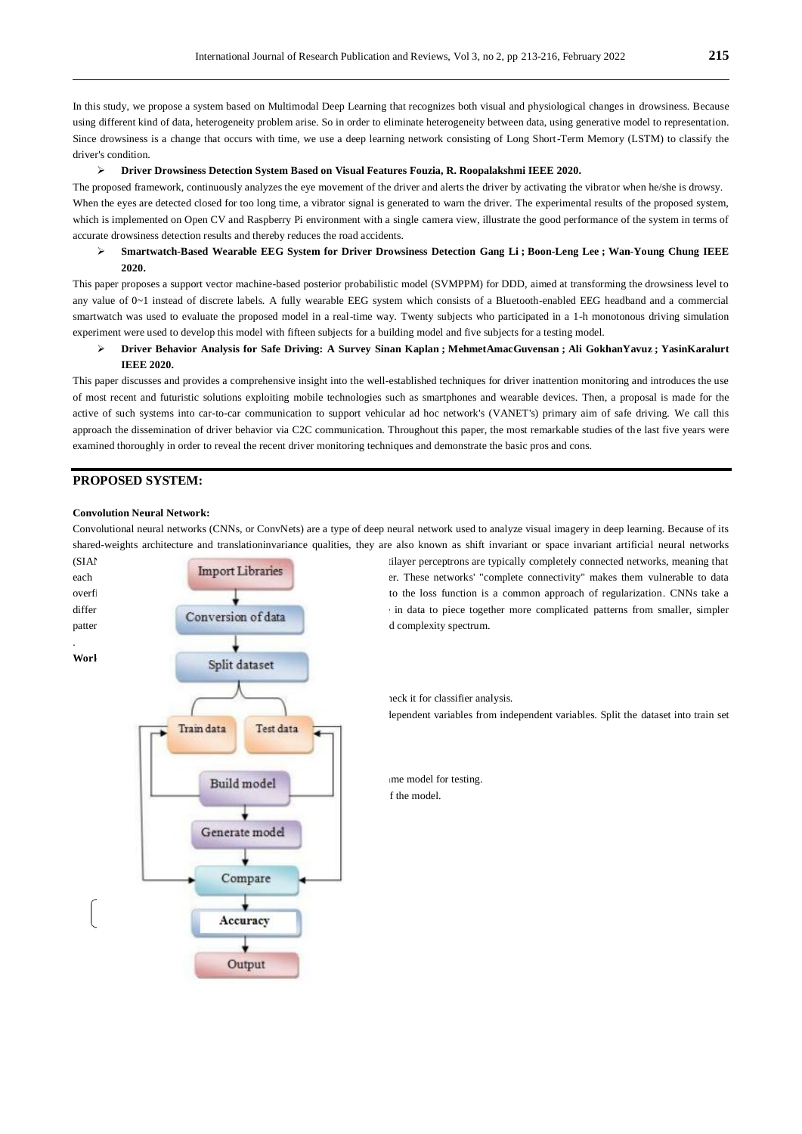In this study, we propose a system based on Multimodal Deep Learning that recognizes both visual and physiological changes in drowsiness. Because using different kind of data, heterogeneity problem arise. So in order to eliminate heterogeneity between data, using generative model to representation. Since drowsiness is a change that occurs with time, we use a deep learning network consisting of Long Short-Term Memory (LSTM) to classify the driver's condition.

#### **Driver Drowsiness Detection System Based on Visual Features Fouzia, R. Roopalakshmi IEEE 2020.**

The proposed framework, continuously analyzes the eye movement of the driver and alerts the driver by activating the vibrator when he/she is drowsy. When the eyes are detected closed for too long time, a vibrator signal is generated to warn the driver. The experimental results of the proposed system, which is implemented on Open CV and Raspberry Pi environment with a single camera view, illustrate the good performance of the system in terms of accurate drowsiness detection results and thereby reduces the road accidents.

## **Smartwatch-Based Wearable EEG System for Driver Drowsiness Detection [Gang Li](https://ieeexplore.ieee.org/author/37085727914) ; [Boon-Leng](https://ieeexplore.ieee.org/author/37085538186) [Lee](https://ieeexplore.ieee.org/author/37085538186) ; [Wan-Young Chung](https://ieeexplore.ieee.org/author/37292715800) IEEE 2020.**

This paper proposes a support vector machine-based posterior probabilistic model (SVMPPM) for DDD, aimed at transforming the drowsiness level to any value of 0~1 instead of discrete labels. A fully wearable EEG system which consists of a Bluetooth-enabled EEG headband and a commercial smartwatch was used to evaluate the proposed model in a real-time way. Twenty subjects who participated in a 1-h monotonous driving simulation experiment were used to develop this model with fifteen subjects for a building model and five subjects for a testing model.

# **Driver Behavior Analysis for Safe Driving: A Survey [Sinan](https://ieeexplore.ieee.org/author/37085727160) [Kaplan](https://ieeexplore.ieee.org/author/37085727160) ; [MehmetAmacGuvensan](https://ieeexplore.ieee.org/author/38193545600) [;](https://ieeexplore.ieee.org/author/38193545600) [Ali GokhanY](https://ieeexplore.ieee.org/author/38196224200)avuz [;](https://ieeexplore.ieee.org/author/38196224200) [YasinKaralurt](https://ieeexplore.ieee.org/author/37085732286) IEEE 2020.**

This paper discusses and provides a comprehensive insight into the well-established techniques for driver inattention monitoring and introduces the use of most recent and futuristic solutions exploiting mobile technologies such as smartphones and wearable devices. Then, a proposal is made for the active of such systems into car-to-car communication to support vehicular ad hoc network's (VANET's) primary aim of safe driving. We call this approach the dissemination of driver behavior via C2C communication. Throughout this paper, the most remarkable studies of the last five years were examined thoroughly in order to reveal the recent driver monitoring techniques and demonstrate the basic pros and cons.

# **PROPOSED SYSTEM:**

#### **Convolution Neural Network:**

Convolutional neural networks (CNNs, or ConvNets) are a type of deep neural network used to analyze visual imagery in deep learning. Because of its shared-weights architecture and translationinvariance qualities, they are also known as shift invariant or space invariant artificial neural networks



lependent variables from independent variables. Split the dataset into train set